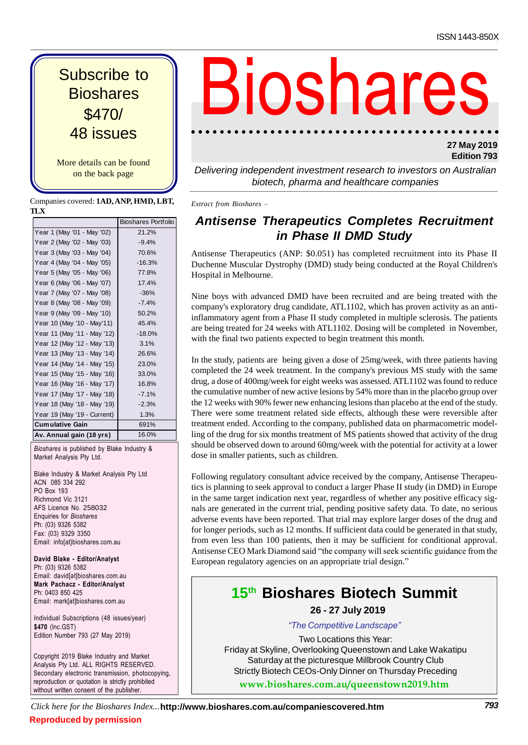\$470/ 48 issues **Bioshares** 

More details can be found on the back page

Companies covered: **1AD,ANP, HMD, LBT, TLX**

|                             | <b>Bioshares Portfolio</b> | ı               |
|-----------------------------|----------------------------|-----------------|
| Year 1 (May '01 - May '02)  | 21.2%                      |                 |
| Year 2 (May '02 - May '03)  | $-9.4%$                    |                 |
| Year 3 (May '03 - May '04)  | 70.6%                      | Ar              |
| Year 4 (May '04 - May '05)  | $-16.3%$                   | Dι              |
| Year 5 (May '05 - May '06)  | 77.8%                      | Hc              |
| Year 6 (May '06 - May '07)  | 17.4%                      |                 |
| Year 7 (May '07 - May '08)  | $-36%$                     | Ni              |
| Year 8 (May '08 - May '09)  | $-7.4%$                    | CO <sub>1</sub> |
| Year 9 (May '09 - May '10)  | 50.2%                      | inf             |
| Year 10 (May '10 - May'11)  | 45.4%                      |                 |
| Year 11 (May '11 - May '12) | $-18.0%$                   | are             |
| Year 12 (May '12 - May '13) | 3.1%                       | wi              |
| Year 13 (May '13 - May '14) | 26.6%                      |                 |
| Year 14 (May '14 - May '15) | 23.0%                      | In              |
| Year 15 (May '15 - May '16) | 33.0%                      | CO <sub>1</sub> |
| Year 16 (May '16 - May '17) | 16.8%                      | drı             |
| Year 17 (May '17 - May '18) | $-7.1%$                    | the             |
| Year 18 (May '18 - May '19) | $-2.3%$                    | the             |
| Year 19 (May '19 - Current) | 1.3%                       | Th              |
| <b>Cumulative Gain</b>      | 691%                       | tre             |
| Av. Annual gain (18 yrs)    | 16.0%                      | lin             |

**Av. Annual gain (18 yrs)** 16.0%<br>
Bioshares is published by Blake Industry &<br>
Market Analysis Pty Ltd.

warket Anarysis 1 ty Ltd.<br>Blake Industry & Market Analysis Pty Ltd<br>ACN 085 334 292 Blake Thuustry & Mar<br>ACN 085 334 292<br>PO Box 193 PO Box 193 ACN 1000-004-252<br>PO Box 193<br>Richmond Vic 3121 ro Box 193<br>Richmond Vic 3121<br>AFS Licence No. 258032<br>Enquiries for *Bioshares* Enquiries for Bioshares Enquiries for *Bioshares*<br>Ph: (03) 9326 5382<br>Fax: (03) 9329 3350 Fax: (03) 9329 3350 Email: info[at}bioshares.com.au

 **Blake - Editor/Analyst** Ph: (03) <sup>9326</sup> <sup>5382</sup> Ph: (03) 9326 5382 Email: david[at]bioshares.com.au rn. (00*) 932*0 3302<br>Email: david[at]bioshares.com.au<br>**Mark Pachacz - Editor/Analyst**<br>Ph: 0403 850 425 mark Fachacz - Eurion Anaryst<br>Ph: 0403 850 425<br>Email: mark[at]bioshares.com.au

<sub>Linan: man<sub>t</sub>agolosnares.com.au<br>Individual Subscriptions (48 issues/year)<br>**\$470** (Inc.GST)</sub> \$470 (Inc.GST) Edition Number 793 (27 May 2019)

Copyright 2019 Blake Industry and Market<br>Analysis Pty Ltd. ALL RIGHTS RESERVED. Copyright 2019 blake muustry and warket<br>Analysis Pty Ltd. ALL RIGHTS RESERVED.<br>Secondarv electronic transmission, photocopving. Analysis Fly Eld. ALL NIGHTS NESENVED.<br>Secondary electronic transmission, photocopying,<br>reproduction or quotation is strictly prohibited reproduction or quotation is strictly prohibited without written consent of the publisher.

## Subscribe to Biosh Pares

## **27 May 2019 Edition 793**

Delivering independent investment research to investors on Australian biotech, pharma and healthcare companies

*Extract from Bioshares <sup>ñ</sup>*

## **Antisense Therapeutics Completes Recruitment in Phase II DMD Study**

Antisense Therapeutics (ANP: \$0.051) has completed recruitment into its Phase II Duchenne Muscular Dystrophy (DMD) study being conducted at the Royal Children's Hospital in Melbourne.

Nine boys with advanced DMD have been recruited and are being treated with the company's exploratory drug candidate, ATL1102, which has proven activity as an antiinflammatory agent from a Phase II study completed in multiple sclerosis. The patients are being treated for 24 weeks with ATL1102. Dosing will be completed in November, with the final two patients expected to begin treatment this month.

In the study, patients are being given a dose of 25mg/week, with three patients having completed the 24 week treatment. In the company's previous MS study with the same drug, a dose of 400mg/week for eight weeks was assessed. ATL1102 was found to reduce the cumulative number of new active lesions by 54% more than in the placebo group over the 12 weeks with 90% fewer new enhancing lesionsthan placebo at the end of the study. There were some treatment related side effects, although these were reversible after treatment ended. According to the company, published data on pharmacometric modelling of the drug for six months treatment of MS patients showed that activity of the drug should be observed down to around 60mg/week with the potential for activity at a lower dose in smaller patients, such as children.

Following regulatory consultant advice received by the company, Antisense Therapeutics is planning to seek approval to conduct a larger Phase II study (in DMD) in Europe in the same target indication next year, regardless of whether any positive efficacy sig nals are generated in the current trial, pending positive safety data. To date, no serious adverse events have been reported. That trial may explore larger doses of the drug and for longer periods, such as 12 months. If sufficient data could be generated in that study, from even less than 100 patients, then it may be sufficient for conditional approval. Antisense CEO Mark Diamond said "the company from even less than 100 patients, then it may be sufficient for conditional approval.<br>Antisense CEO Mark Diamond said "the company will seek scientific guidance from the<br>European regulatory agencies on an appropriate trial

## **15 th Bioshares Biotech Summit 26 - 27 July 2019** *ìTheCompetitive Landscapeî*

**www.bioshares.com.au/queenstown2019.htm**Two Locations this Year: Friday at Skyline, Overlooking Queenstown and Lake Wakatipu Saturday at the picturesque Millbrook Country Club Strictly Biotech CEOs-Only Dinner on Thursday Preceding

*Click here for the Bioshares Index...***http://www.bioshares.com.au/companiescovered.htm Reproduced by permission**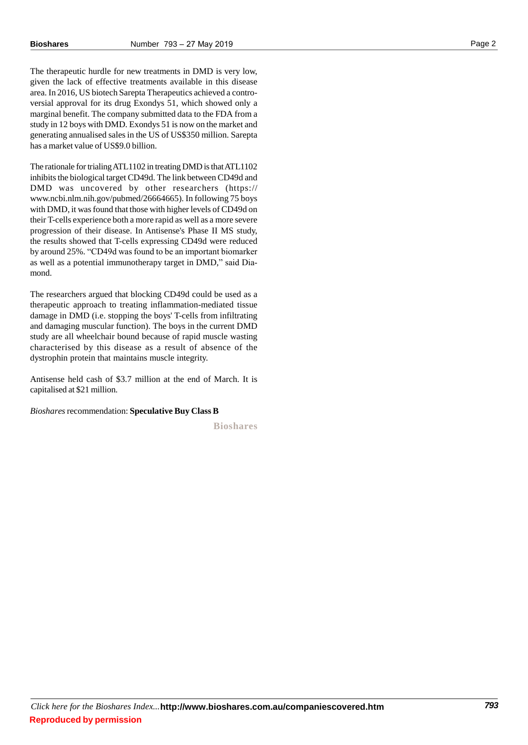The therapeutic hurdle for new treatments in DMD is very low, given the lack of effective treatments available in this disease area. In 2016, US biotech Sarepta Therapeutics achieved a contro versial approval for its drug Exondys 51, which showed only a marginal benefit. The company submitted data to the FDA from a study in 12 boys with DMD. Exondys 51 is now on the market and generating annualised salesin the US of US\$350 million. Sarepta has a market value of US\$9.0 billion.

The rationale for trialing ATL1102 in treating DMD is that ATL1102 inhibits the biological target CD49d. The link between CD49d and DMD was uncovered by other researchers (https:// www.ncbi.nlm.nih.gov/pubmed/26664665). In following 75 boys with DMD, it was found that those with higher levels of CD49d on their T-cells experience both a more rapid as well as a more severe progression of their disease. In Antisense's Phase II MS study, the results showed that T-cells expressing CD49d were reduced by around 25%. "CD49d was found to be an important biomarker the results showed that T-cells expressing CD49d were reduced<br>by around 25%. "CD49d was found to be an important biomarker<br>as well as a potential immunotherapy target in DMD," said Diamond.

The researchers argued that blocking CD49d could be used as a therapeutic approach to treating inflammation-mediated tissue damage in DMD (i.e. stopping the boys' T-cells from infiltrating and damaging muscular function). The boys in the current DMD study are all wheelchair bound because of rapid muscle wasting characterised by this disease as a result of absence of the dystrophin protein that maintains muscle integrity.

Antisense held cash of \$3.7 million at the end of March. It is capitalised at \$21 million.

*Bioshares*recommendation: **Speculative Buy Class B**

**Bioshares**